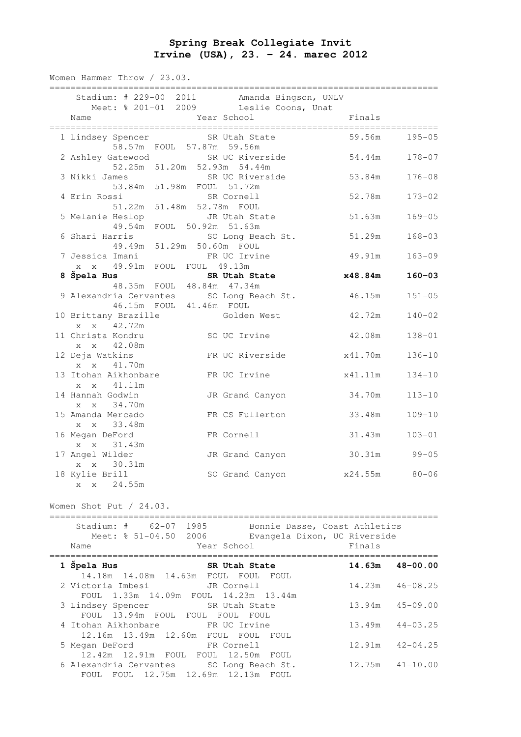## **Spring Break Collegiate Invit Irvine (USA), 23. – 24. marec 2012**

Women Hammer Throw / 23.03.

| Stadium: # 229-00 2011 Amanda Bingson, UNLV<br>Meet: % 201-01 2009 Leslie Coons, Unat      |                 |              |
|--------------------------------------------------------------------------------------------|-----------------|--------------|
| Year School<br>Name                                                                        | Finals          |              |
| 1 Lindsey Spencer SR Utah State<br>58.57m FOUL 57.87m 59.56m                               | 59.56m          | $195 - 05$   |
| 2 Ashley Gatewood SR UC Riverside<br>52.25m 51.20m 52.93m 54.44m                           | 54.44m          | $178 - 07$   |
| 3 Nikki James<br>SR UC Riverside<br>mes SR UC River<br>53.84m 51.98m FOUL 51.72m           | 53.84m          | $176 - 08$   |
| SR Cornell<br>4 Erin Rossi<br>Si<br>51.22m 51.48m 52.78m FOUL<br>51.22m 51.48m 52.78m FOUL | 52.78m          | $173 - 02$   |
| 5 Melanie Heslop<br>JR Utah State<br>49.54m FOUL 50.92m 51.63m                             | 51.63m          | $169 - 05$   |
| 6 Shari Harris<br>SO Long Beach St.<br>49.49m 51.29m 50.60m FOUL                           | 51.29m          | $168 - 03$   |
| 7 Jessica Imani<br>FR UC Irvine<br>x x 49.91m FOUL FOUL 49.13m                             | 49.91m          | $163 - 09$   |
| SR Utah State                                                                              | x48.84m         | $160 - 03$   |
| 48.35m FOUL 48.84m 47.34m                                                                  |                 |              |
| 9 Alexandria Cervantes SO Long Beach St.<br>46.15m FOUL 41.46m FOUL                        | 46.15m          | $151 - 05$   |
| 10 Brittany Brazille<br>Golden West<br>x x 42.72m                                          | 42.72m          | $140 - 02$   |
| 11 Christa Kondru<br>SO UC Irvine<br>x x 42.08m                                            | 42.08m          | $138 - 01$   |
| 12 Deja Watkins<br>FR UC Riverside<br>x x 41.70m                                           | x41.70m         | $136 - 10$   |
| 13 Itohan Aikhonbare<br>FR UC Irvine<br>x x 41.11m                                         | x41.11m         | $134 - 10$   |
| 14 Hannah Godwin<br>JR Grand Canyon<br>x x 34.70m                                          | 34.70m          | $113 - 10$   |
| 15 Amanda Mercado<br>FR CS Fullerton<br>x x 33.48m                                         | 33.48m          | $109 - 10$   |
| 16 Megan DeFord<br>FR Cornell<br>x x 31.43m                                                | 31.43m          | $103 - 01$   |
| 17 Angel Wilder<br>JR Grand Canyon<br>x x 30.31m                                           | 30.31m          | $99 - 05$    |
| 18 Kylie Brill<br>SO Grand Canyon<br>24.55m<br>X<br>$\mathbf{X}$                           | x24.55m         | $80 - 06$    |
| Women Shot Put / 24.03.                                                                    |                 |              |
| Stadium: # 62-07 1985<br>Bonnie Dasse, Coast Athletics                                     |                 |              |
| Meet: % 51-04.50 2006<br>Evangela Dixon, UC Riverside<br>Year School<br>Name               | Finals          |              |
| 1 Špela Hus<br>SR Utah State<br>14.18m  14.08m  14.63m  FOUL  FOUL  FOUL                   | 14.63m          | $48 - 00.00$ |
| 2 Victoria Imbesi<br>JR Cornell<br>FOUL 1.33m 14.09m FOUL 14.23m 13.44m                    | 14.23m          | $46 - 08.25$ |
| 3 Lindsey Spencer<br>SR Utah State<br>FOUL 13.94m FOUL FOUL FOUL FOUL                      | 13.94m          | $45 - 09.00$ |
| 4 Itohan Aikhonbare<br>FR UC Irvine<br>12.16m  13.49m  12.60m  FOUL  FOUL  FOUL            | 13.49m          | $44 - 03.25$ |
| FR Cornell<br>5 Megan DeFord<br>$12.42$ m $12.91$ m FOIII FOIII $12.50$ m FOIII            | 12 <b>.</b> 91m | $42 - 04.25$ |

 12.42m 12.91m FOUL FOUL 12.50m FOUL 6 Alexandria Cervantes SO Long Beach St. 12.75m 41-10.00 FOUL FOUL 12.75m 12.69m 12.13m FOUL